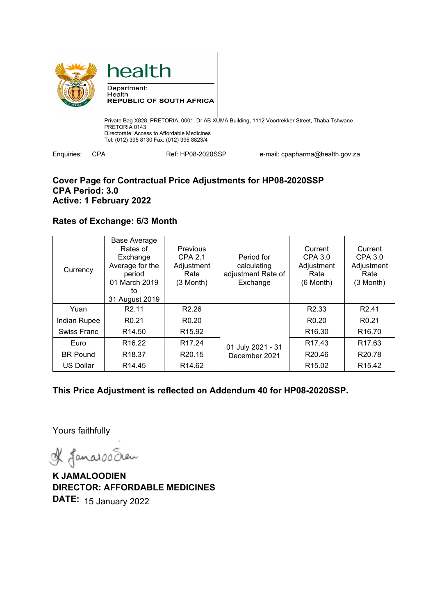



Private Bag X828, PRETORIA, 0001. Dr AB XUMA Building, 1112 Voortrekker Street, Thaba Tshwane PRETORIA 0143 Directorate: Access to Affordable Medicines Tel: (012) 395 8130 Fax: (012) 395 8823/4

Enquiries: CPA Ref: HP08-2020SSP e-mail: cpapharma@health.gov.za

## **Cover Page for Contractual Price Adjustments for HP08-2020SSP CPA Period: 3.0 Active: 1 February 2022**

## **Rates of Exchange: 6/3 Month**

| Currency         | Base Average<br>Rates of<br>Exchange<br>Average for the<br>period<br>01 March 2019<br>to<br>31 August 2019 | Previous<br><b>CPA 2.1</b><br>Adjustment<br>Rate<br>(3 Month) | Period for<br>calculating<br>adjustment Rate of<br>Exchange | Current<br>CPA 3.0<br>Adjustment<br>Rate<br>(6 Month) | Current<br>CPA 3.0<br>Adjustment<br>Rate<br>$(3$ Month) |
|------------------|------------------------------------------------------------------------------------------------------------|---------------------------------------------------------------|-------------------------------------------------------------|-------------------------------------------------------|---------------------------------------------------------|
| Yuan             | R <sub>2.11</sub>                                                                                          | R <sub>2.26</sub>                                             |                                                             | R <sub>2.33</sub>                                     | R <sub>2.41</sub>                                       |
| Indian Rupee     | R <sub>0.21</sub>                                                                                          | R <sub>0.20</sub>                                             |                                                             | R <sub>0.20</sub>                                     | R <sub>0.21</sub>                                       |
| Swiss Franc      | R <sub>14.50</sub>                                                                                         | R <sub>15.92</sub>                                            |                                                             | R <sub>16.30</sub>                                    | R <sub>16.70</sub>                                      |
| Euro             | R <sub>16.22</sub>                                                                                         | R <sub>17.24</sub>                                            | 01 July 2021 - 31                                           | R <sub>17.43</sub>                                    | R <sub>17.63</sub>                                      |
| <b>BR Pound</b>  | R <sub>18.37</sub>                                                                                         | R <sub>20.15</sub>                                            | December 2021                                               | R <sub>20.46</sub>                                    | R <sub>20.78</sub>                                      |
| <b>US Dollar</b> | R <sub>14.45</sub>                                                                                         | R <sub>14.62</sub>                                            |                                                             | R <sub>15.02</sub>                                    | R <sub>15.42</sub>                                      |

**This Price Adjustment is reflected on Addendum 40 for HP08-2020SSP.** 

Yours faithfully

& Janaroo Eren

**K JAMALOODIEN DIRECTOR: AFFORDABLE MEDICINES DATE:** 15 January 2022